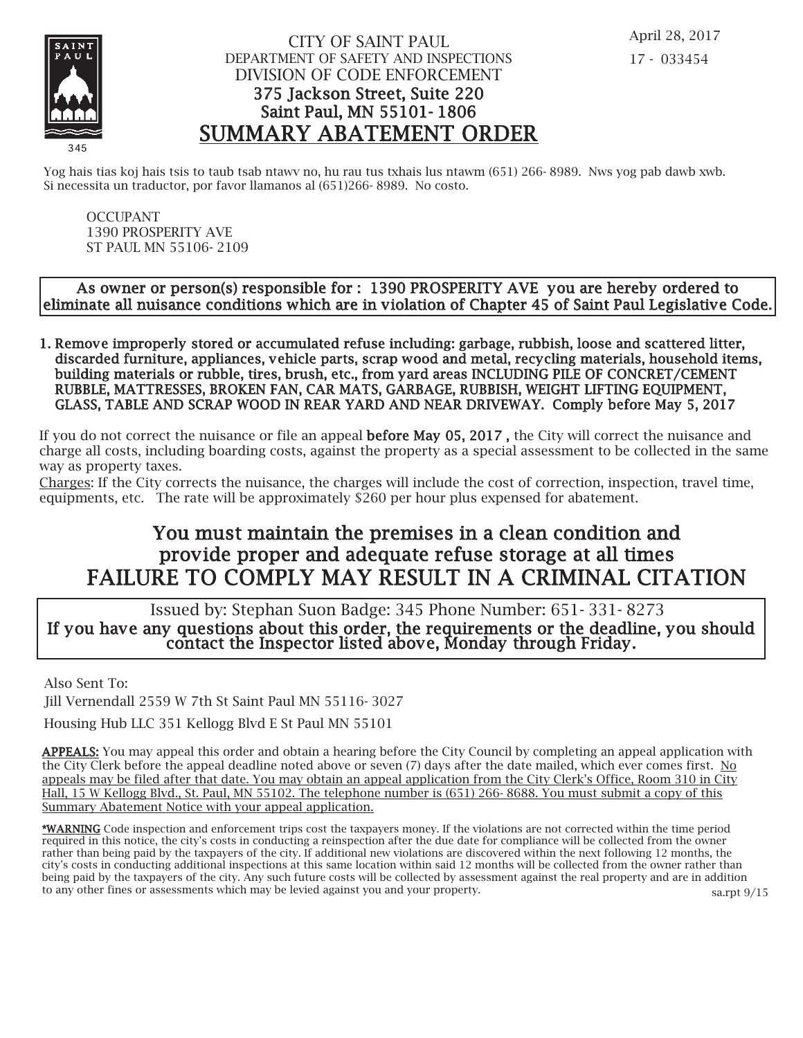

### CITY OF SAINT PAUL DEPARTMENT OF SAFETY AND INSPECTIONS DIVISION OF CODE ENFORCEMENT 375 Jackson Street, Suite 220 Saint Paul, MN 55101- 1806 SUMMARY ABATEMENT ORDER

Yog hais tias koj hais tsis to taub tsab ntawv no, hu rau tus txhais lus ntawm (651) 266- 8989. Nws yog pab dawb xwb. Si necessita un traductor, por favor llamanos al (651)266- 8989. No costo.

OCCUPANT 1390 PROSPERITY AVE ST PAUL MN 55106- 2109

#### As owner or person(s) responsible for : 1390 PROSPERITY AVE you are hereby ordered to eliminate all nuisance conditions which are in v iolation of Chapter 45 of Saint Paul Legislative Code.

1. Remove improperly stored or accumulated refuse including: garbage, rubbish, loose and scattered litter, discarded furniture, appliances, vehicle parts, scrap wood and metal, recycling materials, household items, building materials or rubble, tires, brush, etc., from yard areas INCLUDING PILE OF CONCRET/CEMENT RUBBLE, MATTRESSES, BROKEN FAN, CAR MATS, GARBAGE, RUBBISH, WEIGHT LIFTING EQUIPMENT, GLASS, TABLE AND SCRAP WOOD IN REAR YARD AND NEAR DRIVEWAY. Comply before May 5, 2017

If you do not correct the nuisance or file an appeal **before May 05, 2017**, the City will correct the nuisance and charge all costs, including boarding costs, against the property as a special assessment to be collected in the same way as property taxes.

Charges: If the City corrects the nuisance, the charges will include the cost of correction, inspection, travel time, equipments, etc. The rate will be approximately \$260 per hour plus expensed for abatement.

# You must maintain the premises in a clean condition and prov ide proper and adequate refuse storage at all times FAILURE TO COMPLY MAY RESULT IN A CRIMINAL CITATION

 Issued by: Stephan Suon Badge: 345 Phone Number: 651- 331- 8273 If you have any questions about this order, the requirements or the deadline, you should contact the Inspector listed above, Monday through Friday.

Also Sent To:

Jill Vernendall 2559 W 7th St Saint Paul MN 55116- 3027

Housing Hub LLC 351 Kellogg Blvd E St Paul MN 55101

APPEALS: You may appeal this order and obtain a hearing before the City Council by completing an appeal application with the City Clerk before the appeal deadline noted above or seven (7) days after the date mailed, which ever comes first. No appeals may be filed after that date. You may obtain an appeal application from the City Clerk's Office, Room 310 in City Hall, 15 W Kellogg Blvd., St. Paul, MN 55102. The telephone number is (651) 266- 8688. You must submit a copy of this Summary Abatement Notice with your appeal application.

\*WARNING Code inspection and enforcement trips cost the taxpayers money. If the violations are not corrected within the time period required in this notice, the city's costs in conducting a reinspection after the due date for compliance will be collected from the owner rather than being paid by the taxpayers of the city. If additional new violations are discovered within the next following 12 months, the city's costs in conducting additional inspections at this same location within said 12 months will be collected from the owner rather than being paid by the taxpayers of the city. Any such future costs will be collected by assessment against the real property and are in addition to any other fines or assessments which may be levied against you and your property. sa.rpt 9/15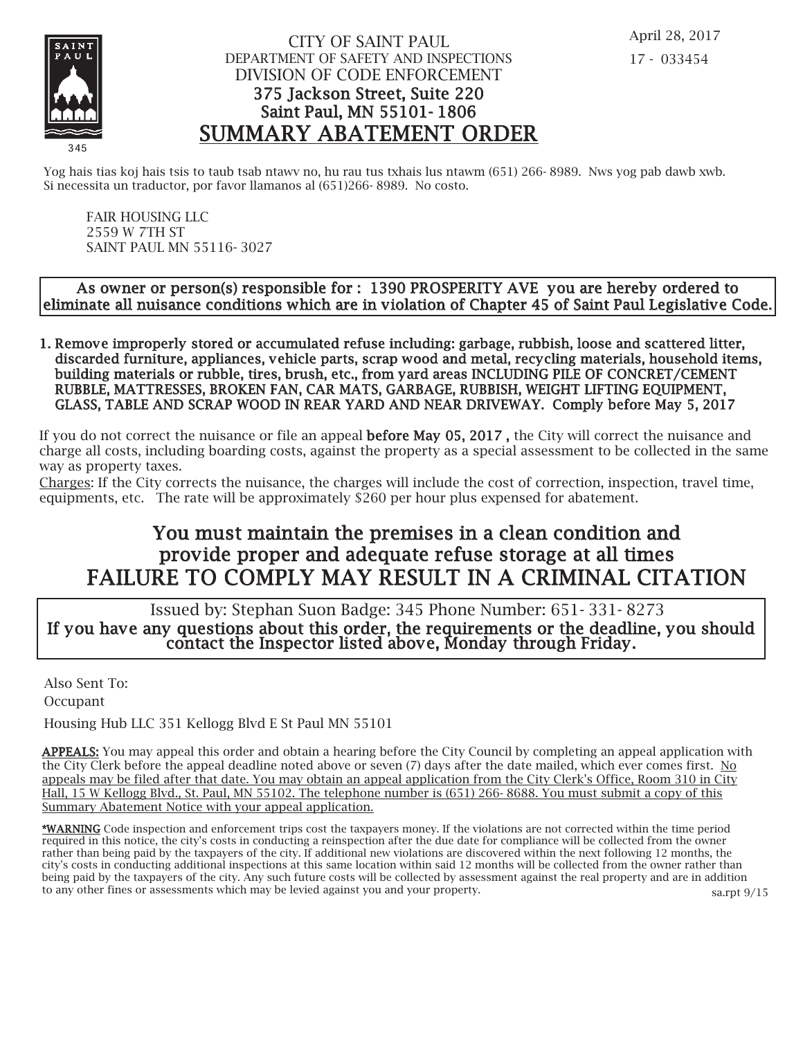

### CITY OF SAINT PAUL DEPARTMENT OF SAFETY AND INSPECTIONS DIVISION OF CODE ENFORCEMENT 375 Jackson Street, Suite 220 Saint Paul, MN 55101- 1806 SUMMARY ABATEMENT ORDER

Yog hais tias koj hais tsis to taub tsab ntawv no, hu rau tus txhais lus ntawm (651) 266-8989. Nws yog pab dawb xwb. Si necessita un traductor, por favor llamanos al (651)266- 8989. No costo.

FAIR HOUSING LLC 2559 W 7TH ST SAINT PAUL MN 55116- 3027

#### As owner or person(s) responsible for : 1390 PROSPERITY AVE you are hereby ordered to eliminate all nuisance conditions which are in v iolation of Chapter 45 of Saint Paul Legislative Code.

1. Remove improperly stored or accumulated refuse including: garbage, rubbish, loose and scattered litter, discarded furniture, appliances, vehicle parts, scrap wood and metal, recycling materials, household items, building materials or rubble, tires, brush, etc., from yard areas INCLUDING PILE OF CONCRET/CEMENT RUBBLE, MATTRESSES, BROKEN FAN, CAR MATS, GARBAGE, RUBBISH, WEIGHT LIFTING EQUIPMENT, GLASS, TABLE AND SCRAP WOOD IN REAR YARD AND NEAR DRIVEWAY. Comply before May 5, 2017

If you do not correct the nuisance or file an appeal **before May 05, 2017**, the City will correct the nuisance and charge all costs, including boarding costs, against the property as a special assessment to be collected in the same way as property taxes.

Charges: If the City corrects the nuisance, the charges will include the cost of correction, inspection, travel time, equipments, etc. The rate will be approximately \$260 per hour plus expensed for abatement.

# You must maintain the premises in a clean condition and prov ide proper and adequate refuse storage at all times FAILURE TO COMPLY MAY RESULT IN A CRIMINAL CITATION

 Issued by: Stephan Suon Badge: 345 Phone Number: 651- 331- 8273 If you have any questions about this order, the requirements or the deadline, you should contact the Inspector listed above, Monday through Friday.

Also Sent To: Occupant

Housing Hub LLC 351 Kellogg Blvd E St Paul MN 55101

APPEALS: You may appeal this order and obtain a hearing before the City Council by completing an appeal application with the City Clerk before the appeal deadline noted above or seven (7) days after the date mailed, which ever comes first. No appeals may be filed after that date. You may obtain an appeal application from the City Clerk's Office, Room 310 in City Hall, 15 W Kellogg Blvd., St. Paul, MN 55102. The telephone number is (651) 266- 8688. You must submit a copy of this Summary Abatement Notice with your appeal application.

\*WARNING Code inspection and enforcement trips cost the taxpayers money. If the violations are not corrected within the time period required in this notice, the city's costs in conducting a reinspection after the due date for compliance will be collected from the owner rather than being paid by the taxpayers of the city. If additional new violations are discovered within the next following 12 months, the city's costs in conducting additional inspections at this same location within said 12 months will be collected from the owner rather than being paid by the taxpayers of the city. Any such future costs will be collected by assessment against the real property and are in addition to any other fines or assessments which may be levied against you and your property. sa.rpt 9/15